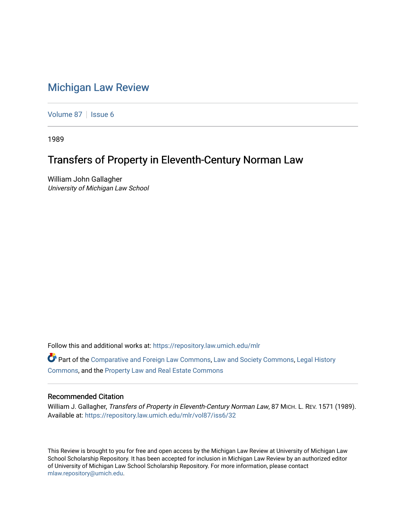## [Michigan Law Review](https://repository.law.umich.edu/mlr)

[Volume 87](https://repository.law.umich.edu/mlr/vol87) | [Issue 6](https://repository.law.umich.edu/mlr/vol87/iss6)

1989

## Transfers of Property in Eleventh-Century Norman Law

William John Gallagher University of Michigan Law School

Follow this and additional works at: [https://repository.law.umich.edu/mlr](https://repository.law.umich.edu/mlr?utm_source=repository.law.umich.edu%2Fmlr%2Fvol87%2Fiss6%2F32&utm_medium=PDF&utm_campaign=PDFCoverPages) 

Part of the [Comparative and Foreign Law Commons,](http://network.bepress.com/hgg/discipline/836?utm_source=repository.law.umich.edu%2Fmlr%2Fvol87%2Fiss6%2F32&utm_medium=PDF&utm_campaign=PDFCoverPages) [Law and Society Commons](http://network.bepress.com/hgg/discipline/853?utm_source=repository.law.umich.edu%2Fmlr%2Fvol87%2Fiss6%2F32&utm_medium=PDF&utm_campaign=PDFCoverPages), [Legal History](http://network.bepress.com/hgg/discipline/904?utm_source=repository.law.umich.edu%2Fmlr%2Fvol87%2Fiss6%2F32&utm_medium=PDF&utm_campaign=PDFCoverPages) [Commons](http://network.bepress.com/hgg/discipline/904?utm_source=repository.law.umich.edu%2Fmlr%2Fvol87%2Fiss6%2F32&utm_medium=PDF&utm_campaign=PDFCoverPages), and the [Property Law and Real Estate Commons](http://network.bepress.com/hgg/discipline/897?utm_source=repository.law.umich.edu%2Fmlr%2Fvol87%2Fiss6%2F32&utm_medium=PDF&utm_campaign=PDFCoverPages) 

## Recommended Citation

William J. Gallagher, Transfers of Property in Eleventh-Century Norman Law, 87 MICH. L. REV. 1571 (1989). Available at: [https://repository.law.umich.edu/mlr/vol87/iss6/32](https://repository.law.umich.edu/mlr/vol87/iss6/32?utm_source=repository.law.umich.edu%2Fmlr%2Fvol87%2Fiss6%2F32&utm_medium=PDF&utm_campaign=PDFCoverPages) 

This Review is brought to you for free and open access by the Michigan Law Review at University of Michigan Law School Scholarship Repository. It has been accepted for inclusion in Michigan Law Review by an authorized editor of University of Michigan Law School Scholarship Repository. For more information, please contact [mlaw.repository@umich.edu.](mailto:mlaw.repository@umich.edu)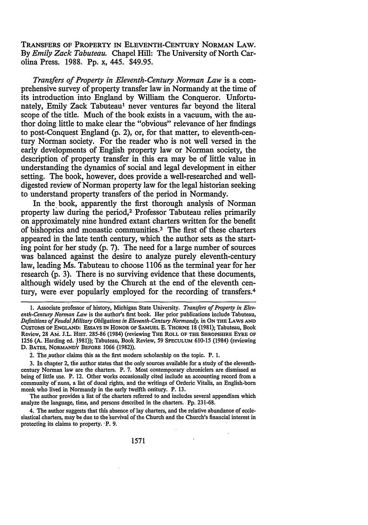TRANSFERS OF PROPERTY IN ELEVENTH-CENTURY NORMAN LAW. By *Emily Zack Tabuteau.* Chapel Hill: The University of North Carolina Press. 1988. Pp. x, 445. \$49.95.

*Transfers of Property in Eleventh-Century Norman Law* is a comprehensive survey of property transfer law in Normandy at the time of its introduction into England by William the Conqueror. Unfortunately, Emily Zack Tabuteau<sup>1</sup> never ventures far beyond the literal scope of the title. Much of the book exists in a vacuum, with the author doing little to make clear the "obvious" relevance of her findings to post-Conquest England (p. 2), or, for that matter, to eleventh-century Norman society. For the reader who is not well versed in the early developments of English property law or Norman society, the description of property transfer in this era may be of little value in understanding the dynamics of social and legal development in either setting. The book, however, does provide a well-researched and welldigested review of Norman property law for the legal historian seeking to understand property transfers of the period in Normandy.

In the, book, apparently the first thorough analysis of Norman property law during the period,2 Professor Tabuteau relies primarily on approximately nine hundred extant charters written for the benefit of bishoprics and monastic communities.<sup>3</sup> The first of these charters appeared in the late tenth century, which the author sets as the starting point for her study (p. 7). The need for a large number of sources was balanced against the desire to analyze purely eleventh-century law, leading Ms. Tabuteau to choose 1106 as the terminal year for her research (p. 3). There is no surviving evidence that these documents, although widely used by the Church at the end of the eleventh century, were ever popularly employed for the recording of transfers.4

2. The author claims this as the first modern scholarship on the topic. P. 1.

3. In chapter 2, tlie author states that the only sources available for a study of the eleventhcentury Norman law are the charters. P. 7. Most contemporary chroniclers are dismissed as being of little use. P. 12. Other works occasionally cited include an accounting record from a community or' nuns, a list of ducal rights, and the writings of Orderic Vitalis, an English-born monk who lived in Normandy in the early twelfth century. P. 13.

The author provides a list of the charters referred to and includes several appendixes which analyze the language, time, and persons described in the charters. Pp. 231-68.

4. The author suggests that this absence of lay charters, and the relative abundance of ecclesiastical charters, may be due to the survival of the Church and the Church's financial interest in protecting its claims to property. ·P. 9.

 $\ddot{\phantom{a}}$ 

<sup>1.</sup> Associate professor of history, Michigan State University. *Transfers of Property in Eleventh-Century Norman Law* is the author's first book. Her prior publications include Tabuteau, *Definitions of Feudaf.Military Obligations in Eleventh-Century Normandy,* in ON THE LA ws AND CUSTOMS OF ENGLAND: EssAYS IN HONOR OF SAMUELE. THORNE 18 (1981); Tabuteau, Book Review, 28 AM. J.L. HIST. 285-86 (1984) (reviewing THE ROLL OF THE SHROPSHIRE EYRE OF 1256 (A. Harding ed. 1981)); Tabuteau, Book Review, 59 SPECULUM 610-15 (1984) (reviewing D. BATES, NORMANDY BEFORE 1066 (1982)).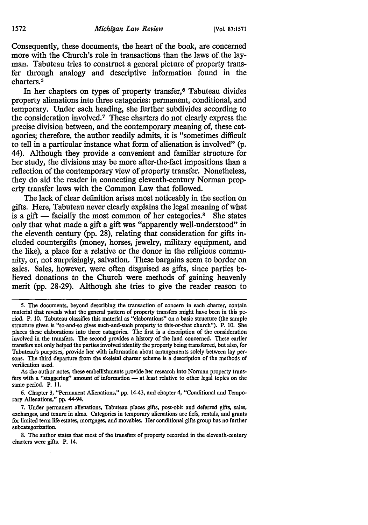Consequently, these documents, the heart of the book, are concerned more with the Church's role in transactions than the laws of the layman. Tabuteau tries to construct a general picture of property transfer through analogy and descriptive information found in the charters.5

In her chapters on types of property transfer,<sup>6</sup> Tabuteau divides property alienations into three catagories: permanent, conditional, and temporary. Under each heading, she further subdivides according to the consideration involved.<sup>7</sup> These charters do not clearly express the precise division between, and the contemporary meaning of, these catagories; therefore, the author readily admits, it is "sometimes difficult to tell in a particular instance what form of alienation is involved" (p. 44). Although they provide a convenient and familiar structure for her study, the divisions may be more after-the-fact impositions than a reflection of the contemporary view of property transfer. Nonetheless, they do aid the reader in connecting eleventh-century Norman property transfer laws with the Common Law that followed.

The lack of clear definition arises most noticeably in the section on gifts. Here, Tabuteau never clearly explains the legal meaning of what is a gift  $-$  facially the most common of her categories.<sup>8</sup> She states only that what made a gift a gift was "apparently well-understood" in the eleventh century (pp. 28), relating that consideration for gifts included countergifts (money, horses, jewelry, military equipment, and the like), a place for a relative or the donor in the religious community, or, not surprisingly, salvation. These bargains seem to border on sales. Sales, however, were often disguised as gifts, since parties believed donations to the Church were methods of gaining heavenly merit (pp. 28-29). Although she tries to give the reader reason to

As the author notes, these embellishments provide her research into Norman property trans· fers with a "staggering" amount of information - at least relative to other legal topics on the same period. P. 11.

6. Chapter 3, "Permanent Alienations," pp. 14-43, and chapter 4, "Conditional and Tempo· rary Alienations," pp. 44-94.

7. Under permanent alienations, Tabuteau places gifts, post-obit and deferred gifts, sales, exchanges, and tenure in alms. Categories in temporary alienations are fiefs, rentals, and grants for limited term life estates, mortgages, and movables. Her conditional gifts group has no further subcategorization.

8. The author states that most of the transfers of property recorded in the eleventh-century charters were gifts. P. 14.

*<sup>5.</sup>* The documents, beyond describing the transaction of concern in each charter, contain material that reveals what the general pattern of property transfers might have been in this pe· riod. P. 10. Tabuteau classifies this material as "elaborations" on a basic structure (the sample structure given is "so-and-so gives such-and-such property to this-or-that church"). P. 10. She places these elaborations into three catagories. The first is a description of the consideration involved in the transfers. The second provides a history of the land concerned. These earlier transfers not only helped the parties involved identify the property being transferred, but also, for Tabuteau's purposes, provide her with information about arrangements solely between lay persons. The third departure from the skeletal charter scheme is a description of the methods of verification used.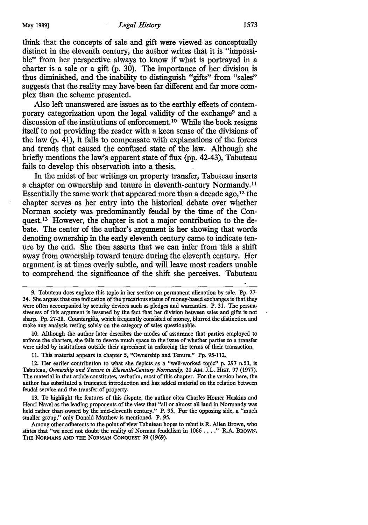think that the concepts of sale and gift were viewed as conceptually distinct in the eleventh century, the author writes that it is "impossible" from her perspective always to know if what is portrayed in a charter is a sale or a gift  $(p. 30)$ . The importance of her division is thus diminished, and the inability to distinguish "gifts" from "sales" suggests that the reality may have been far different and far more complex than the scheme presented.

Also left unanswered are issues as to the earthly effects of contemporary categorization upon the legal validity of the exchange9 and a discussion of the institutions of enforcement.<sup>10</sup> While the book resigns itself to not providing the reader with a keen sense of the divisions of the law  $(p, 41)$ , it fails to compensate with explanations of the forces and trends that caused the confused state of the law. Although she briefly mentions the law's apparent state of flux {pp. 42-43), Tabuteau fails to develop this observation into a thesis.

In the midst of her writings on property transfer, Tabuteau inserts a chapter on ownership and tenure in eleventh-century Normandy. <sup>11</sup> Essentially the same work that appeared more than a decade ago, 12 the chapter serves as her entry into the historical debate over whether Norman society was predominantly feudal by the time of the Conquest.13 However, the chapter is not a major contribution to the debate. The center of the author's argument is her showing that words denoting ownership in the early eleventh century came to indicate tenure by the end. She then asserts that we can infer from this a shift away from ownership toward tenure during the eleventh century. Her argument is at times overly subtle, and will leave most readers unable to comprehend the significance of the shift she perceives. Tabuteau

10. Although the author later describes the modes of assurance that parties employed to enforce the charters, she fails to devote much space to the issue of whether parties to a transfer were aided by institutions outside their agreement in enforcing the terms of their transaction.

11. This material appears in chapter 5, "Ownership and Tenure." Pp. 95-112.

12. Her earlier contribution to what she depicts as a "well-worked topic" p. 297 n.53, is Tabuteau, *Ownership and Tenure in Eleventh-Century Normandy,* 21 AM. J.L. Hisr. 97 (1977). The material in that article constitutes, verbatim, most of this chapter. For the version here, the author has substituted a truncated introduction and has added material on the relation between feudal service and the transfer of property.

13. To highlight the features of this dispute, the author cites Charles Homer Haskins and Henri Navel as the leading proponents of the view that "all or almost all land in Normandy was held rather than owned by the mid-eleventh century." P. 95. For the opposing side, a "much smaller group," only Donald Matthew is mentioned. P. 95.

Among other adherents to the point of view Tabuteau hopes to rebut is R. Allen Brown, who states that "we need not doubt the reality of Norman feudalism in 1066 . . . ." R.A. BROWN, THE NORMANS AND THE NORMAN CoNQUEsr 39 (1969).

<sup>9.</sup> Tabuteau does explore this topic in her section on permanent alienation by sale. Pp. 27- 34. She argues that one indication of the precarious status of money-based exchanges is that they were often accompanied by security devices such as pledges and warranties. P. 31. The persuasiveness of this argument is lessened by the fact that her division between sales and gifts is not sharp. Pp. 27-28. Countergifts, which frequently consisted of money, blurred the distinction and make any analysis resting solely on the category of sales questionable.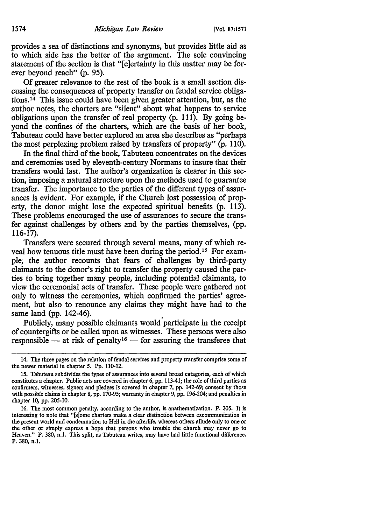provides a sea of distinctions and synonyms, but provides little aid as to which side has the better of the argument. The sole convincing statement of the section is that "[c]ertainty in this matter may be forever beyond reach" (p. 95).

Of greater relevance to the rest of the book is a small section discussing the consequences of property transfer on feudal service obligations.14 This issue could have been given greater attention, but, as the author notes, the charters are "silent" about what happens to service obligations upon the transfer of real property (p. 111). By going beyond the confines of the charters, which are the basis of her book, Tabuteau could have better explored an area she describes as "perhaps the most perplexing problem raised by transfers of property" (p. 110).

In the final third of the book, Tabuteau concentrates on the devices and ceremonies used by eleventh-century Normans to insure that their transfers would last. The author's organization is clearer in this section, imposing a natural structure upon the methods used to guarantee transfer. The importance to the parties of the different types of assurances is evident. For example, if the Church lost possession of property, the donor might lose the expected spiritual benefits (p. 113). These problems encouraged the use of assurances to secure the transfer against challenges by others and by the parties themselves, (pp. 116-17).

Transfers were secured through several means, many of which reveal how tenuous title must have been during the period. 15 For example; the author recounts that fears of challenges by third-party claimants to the donor's right to transfer the property caused the parties to bring together many people, including potential claimants, to view the ceremonial acts of transfer. These people were gathered not only to witness the ceremonies, which confirmed the parties' agreement, but also to renounce any claims they might have had to the same land (pp. 142-46).

Publicly, many possible claimants would participate in the receipt of countergifts or be called upon as witnesses. These persons were also responsible  $-$  at risk of penalty<sup>16</sup>  $-$  for assuring the transferee that

<sup>14.</sup> The three pages on the relation of feudal services and property transfer comprise some of the newer material in chapter *5.* Pp. 110-12.

<sup>15.</sup> Tabuteau subdivides the types of assurances into several broad catagories, each of which constitutes a chapter. Public acts are covered in chapter 6, pp. 113-41; the role of third parties as confirmers, witnesses, signers and pledges is covered in chapter 7, pp. 142-69; consent by those with possible claims in chapter 8, pp. 170-95; warranty in chapter 9, pp. 196-204; and penalties in chapter 10, pp. 205-10.

<sup>16.</sup> The most common penalty, according to the author, is anathematization. P. 205. It is interesting to note that "[s]ome charters make a clear distinction between excommunication in the present world and condemnation to Hell in the afterlife, whereas others allude only to one or the other or simply express a hope that persons who trouble the church may never go to Heaven." P. 380, n.1. This split, as Tabuteau writes, may have had little functional difference. P. 380, n.1.